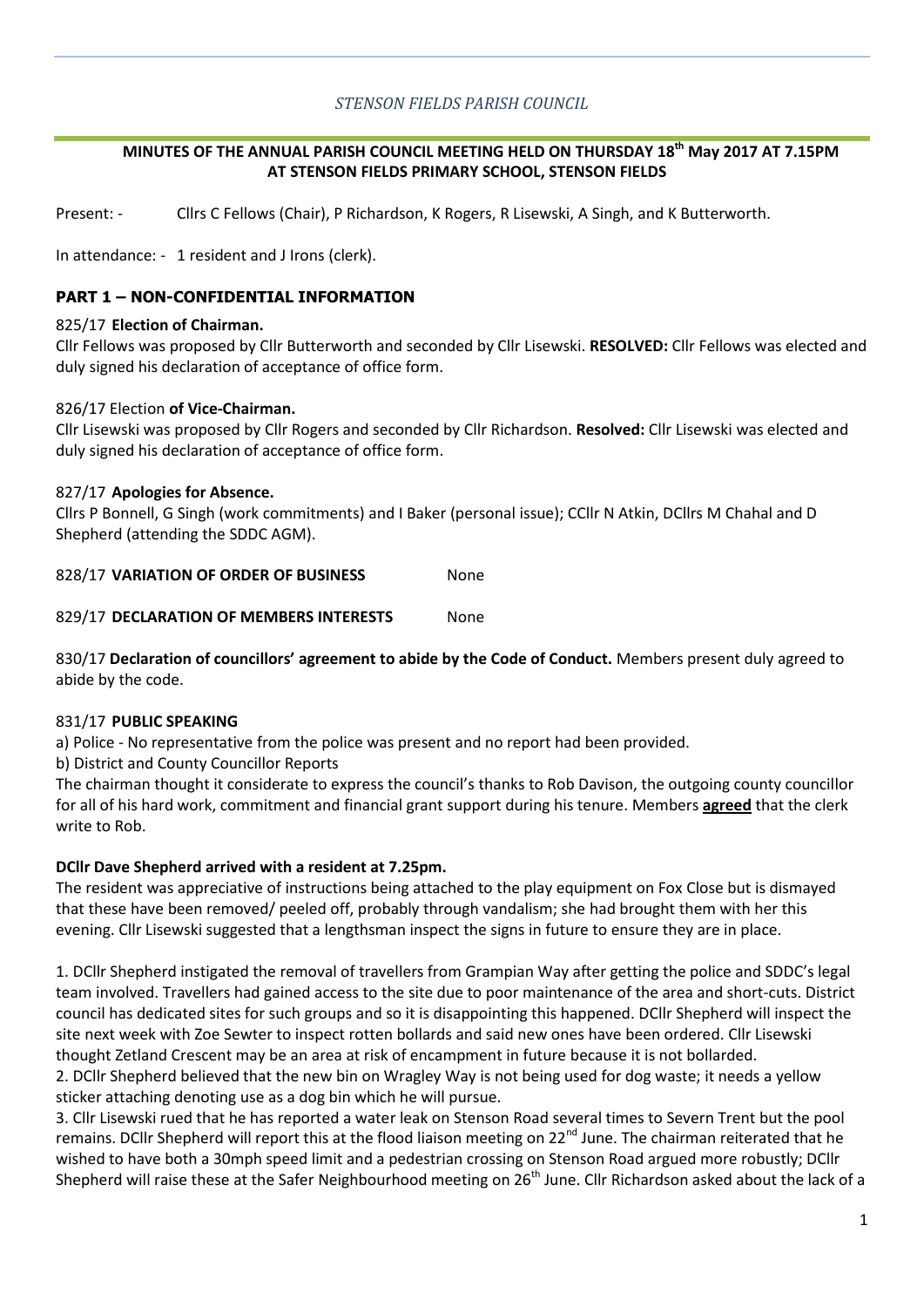## *STENSON FIELDS PARISH COUNCIL*

#### **MINUTES OF THE ANNUAL PARISH COUNCIL MEETING HELD ON THURSDAY 18th May 2017 AT 7.15PM AT STENSON FIELDS PRIMARY SCHOOL, STENSON FIELDS**

Present: - Cllrs C Fellows (Chair), P Richardson, K Rogers, R Lisewski, A Singh, and K Butterworth.

In attendance: - 1 resident and J Irons (clerk).

## **PART 1 – NON-CONFIDENTIAL INFORMATION**

#### 825/17 **Election of Chairman.**

Cllr Fellows was proposed by Cllr Butterworth and seconded by Cllr Lisewski. **RESOLVED:** Cllr Fellows was elected and duly signed his declaration of acceptance of office form.

#### 826/17 Election **of Vice-Chairman.**

Cllr Lisewski was proposed by Cllr Rogers and seconded by Cllr Richardson. **Resolved:** Cllr Lisewski was elected and duly signed his declaration of acceptance of office form.

#### 827/17 **Apologies for Absence.**

Cllrs P Bonnell, G Singh (work commitments) and I Baker (personal issue); CCllr N Atkin, DCllrs M Chahal and D Shepherd (attending the SDDC AGM).

828/17 **VARIATION OF ORDER OF BUSINESS** None

829/17 **DECLARATION OF MEMBERS INTERESTS** None

830/17 **Declaration of councillors' agreement to abide by the Code of Conduct.** Members present duly agreed to abide by the code.

#### 831/17 **PUBLIC SPEAKING**

a) Police - No representative from the police was present and no report had been provided.

b) District and County Councillor Reports

The chairman thought it considerate to express the council's thanks to Rob Davison, the outgoing county councillor for all of his hard work, commitment and financial grant support during his tenure. Members **agreed** that the clerk write to Rob.

#### **DCllr Dave Shepherd arrived with a resident at 7.25pm.**

The resident was appreciative of instructions being attached to the play equipment on Fox Close but is dismayed that these have been removed/ peeled off, probably through vandalism; she had brought them with her this evening. Cllr Lisewski suggested that a lengthsman inspect the signs in future to ensure they are in place.

1. DCllr Shepherd instigated the removal of travellers from Grampian Way after getting the police and SDDC's legal team involved. Travellers had gained access to the site due to poor maintenance of the area and short-cuts. District council has dedicated sites for such groups and so it is disappointing this happened. DCllr Shepherd will inspect the site next week with Zoe Sewter to inspect rotten bollards and said new ones have been ordered. Cllr Lisewski thought Zetland Crescent may be an area at risk of encampment in future because it is not bollarded.

2. DCllr Shepherd believed that the new bin on Wragley Way is not being used for dog waste; it needs a yellow sticker attaching denoting use as a dog bin which he will pursue.

3. Cllr Lisewski rued that he has reported a water leak on Stenson Road several times to Severn Trent but the pool remains. DCllr Shepherd will report this at the flood liaison meeting on  $22^{nd}$  June. The chairman reiterated that he wished to have both a 30mph speed limit and a pedestrian crossing on Stenson Road argued more robustly; DCllr Shepherd will raise these at the Safer Neighbourhood meeting on 26<sup>th</sup> June. Cllr Richardson asked about the lack of a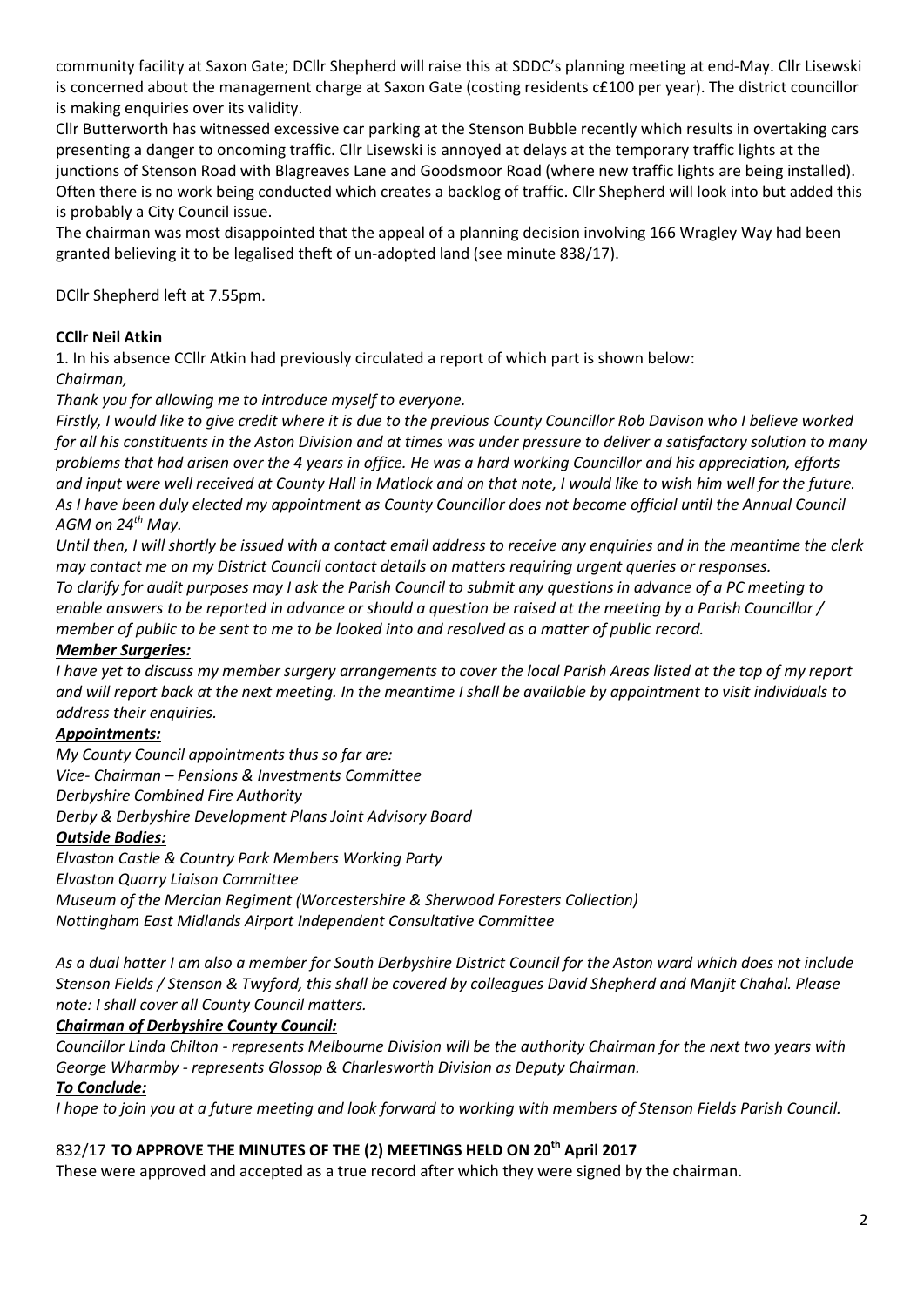community facility at Saxon Gate; DCllr Shepherd will raise this at SDDC's planning meeting at end-May. Cllr Lisewski is concerned about the management charge at Saxon Gate (costing residents c£100 per year). The district councillor is making enquiries over its validity.

Cllr Butterworth has witnessed excessive car parking at the Stenson Bubble recently which results in overtaking cars presenting a danger to oncoming traffic. Cllr Lisewski is annoyed at delays at the temporary traffic lights at the junctions of Stenson Road with Blagreaves Lane and Goodsmoor Road (where new traffic lights are being installed). Often there is no work being conducted which creates a backlog of traffic. Cllr Shepherd will look into but added this is probably a City Council issue.

The chairman was most disappointed that the appeal of a planning decision involving 166 Wragley Way had been granted believing it to be legalised theft of un-adopted land (see minute 838/17).

DCllr Shepherd left at 7.55pm.

## **CCllr Neil Atkin**

1. In his absence CCllr Atkin had previously circulated a report of which part is shown below:

*Chairman,*

*Thank you for allowing me to introduce myself to everyone.*

*Firstly, I would like to give credit where it is due to the previous County Councillor Rob Davison who I believe worked for all his constituents in the Aston Division and at times was under pressure to deliver a satisfactory solution to many problems that had arisen over the 4 years in office. He was a hard working Councillor and his appreciation, efforts and input were well received at County Hall in Matlock and on that note, I would like to wish him well for the future.* As I have been duly elected my appointment as County Councillor does not become official until the Annual Council *AGM on 24th May.*

*Until then, I will shortly be issued with a contact email address to receive any enquiries and in the meantime the clerk may contact me on my District Council contact details on matters requiring urgent queries or responses. To clarify for audit purposes may I ask the Parish Council to submit any questions in advance of a PC meeting to enable answers to be reported in advance or should a question be raised at the meeting by a Parish Councillor / member of public to be sent to me to be looked into and resolved as a matter of public record.*

## *Member Surgeries:*

*I have yet to discuss my member surgery arrangements to cover the local Parish Areas listed at the top of my report and will report back at the next meeting. In the meantime I shall be available by appointment to visit individuals to address their enquiries.*

## *Appointments:*

*My County Council appointments thus so far are: Vice- Chairman – Pensions & Investments Committee Derbyshire Combined Fire Authority*

*Derby & Derbyshire Development Plans Joint Advisory Board*

## *Outside Bodies:*

*Elvaston Castle & Country Park Members Working Party Elvaston Quarry Liaison Committee Museum of the Mercian Regiment (Worcestershire & Sherwood Foresters Collection) Nottingham East Midlands Airport Independent Consultative Committee*

*As a dual hatter I am also a member for South Derbyshire District Council for the Aston ward which does not include Stenson Fields / Stenson & Twyford, this shall be covered by colleagues David Shepherd and Manjit Chahal. Please note: I shall cover all County Council matters.*

## *Chairman of Derbyshire County Council:*

*Councillor Linda Chilton - represents Melbourne Division will be the authority Chairman for the next two years with George Wharmby - represents Glossop & Charlesworth Division as Deputy Chairman.*

## *To Conclude:*

*I hope to join you at a future meeting and look forward to working with members of Stenson Fields Parish Council.*

## 832/17 **TO APPROVE THE MINUTES OF THE (2) MEETINGS HELD ON 20th April 2017**

These were approved and accepted as a true record after which they were signed by the chairman.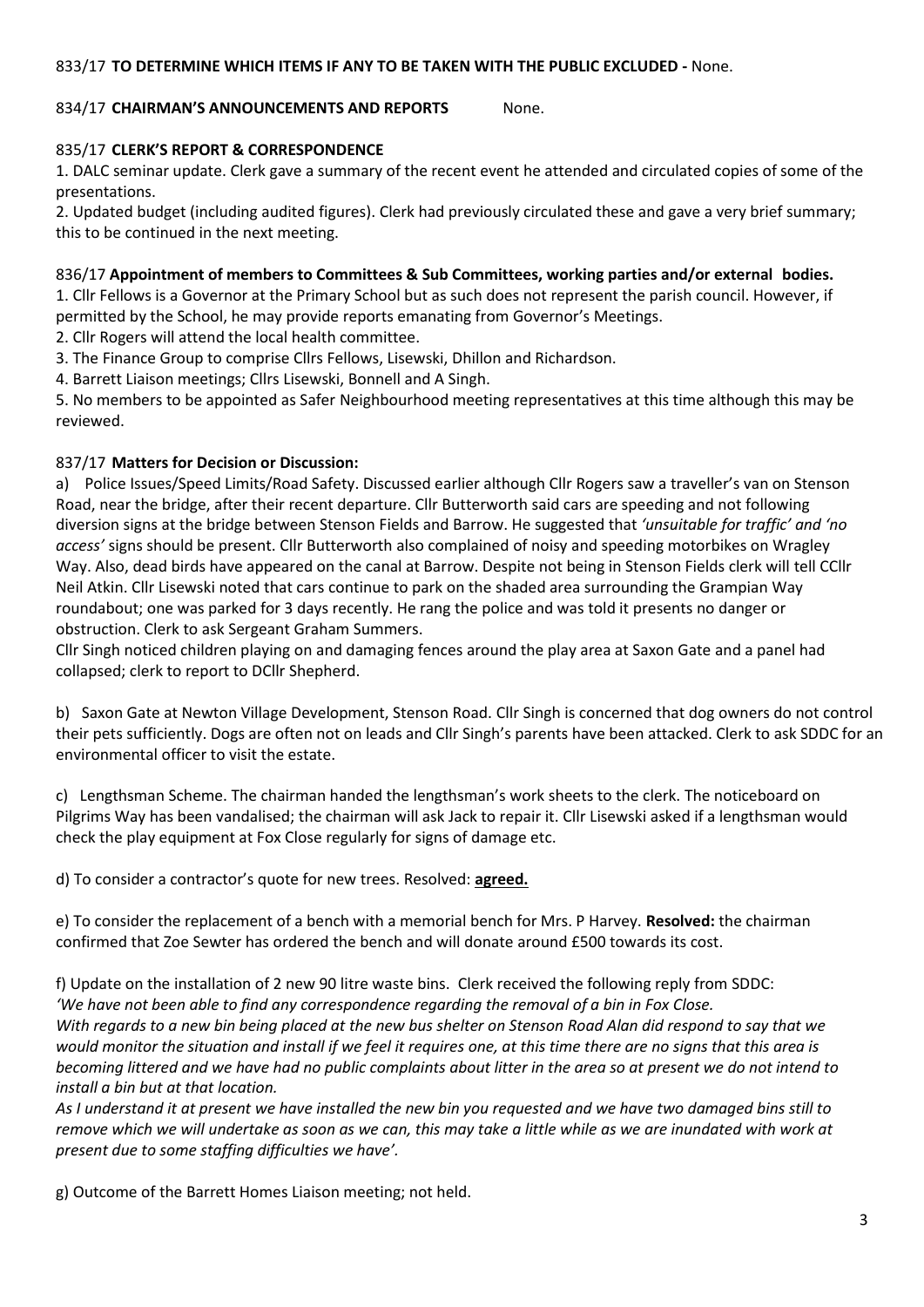#### 833/17 **TO DETERMINE WHICH ITEMS IF ANY TO BE TAKEN WITH THE PUBLIC EXCLUDED -** None.

#### 834/17 **CHAIRMAN'S ANNOUNCEMENTS AND REPORTS** None.

### 835/17 **CLERK'S REPORT & CORRESPONDENCE**

1. DALC seminar update. Clerk gave a summary of the recent event he attended and circulated copies of some of the presentations.

2. Updated budget (including audited figures). Clerk had previously circulated these and gave a very brief summary; this to be continued in the next meeting.

#### 836/17 **Appointment of members to Committees & Sub Committees, working parties and/or external bodies.**

1. Cllr Fellows is a Governor at the Primary School but as such does not represent the parish council. However, if permitted by the School, he may provide reports emanating from Governor's Meetings.

2. Cllr Rogers will attend the local health committee.

3. The Finance Group to comprise Cllrs Fellows, Lisewski, Dhillon and Richardson.

4. Barrett Liaison meetings; Cllrs Lisewski, Bonnell and A Singh.

5. No members to be appointed as Safer Neighbourhood meeting representatives at this time although this may be reviewed.

#### 837/17 **Matters for Decision or Discussion:**

a) Police Issues/Speed Limits/Road Safety. Discussed earlier although Cllr Rogers saw a traveller's van on Stenson Road, near the bridge, after their recent departure. Cllr Butterworth said cars are speeding and not following diversion signs at the bridge between Stenson Fields and Barrow. He suggested that *'unsuitable for traffic' and 'no access'* signs should be present. Cllr Butterworth also complained of noisy and speeding motorbikes on Wragley Way. Also, dead birds have appeared on the canal at Barrow. Despite not being in Stenson Fields clerk will tell CCllr Neil Atkin. Cllr Lisewski noted that cars continue to park on the shaded area surrounding the Grampian Way roundabout; one was parked for 3 days recently. He rang the police and was told it presents no danger or obstruction. Clerk to ask Sergeant Graham Summers.

Cllr Singh noticed children playing on and damaging fences around the play area at Saxon Gate and a panel had collapsed; clerk to report to DCllr Shepherd.

b) Saxon Gate at Newton Village Development, Stenson Road. Cllr Singh is concerned that dog owners do not control their pets sufficiently. Dogs are often not on leads and Cllr Singh's parents have been attacked. Clerk to ask SDDC for an environmental officer to visit the estate.

c) Lengthsman Scheme. The chairman handed the lengthsman's work sheets to the clerk. The noticeboard on Pilgrims Way has been vandalised; the chairman will ask Jack to repair it. Cllr Lisewski asked if a lengthsman would check the play equipment at Fox Close regularly for signs of damage etc.

d) To consider a contractor's quote for new trees. Resolved: **agreed.**

e) To consider the replacement of a bench with a memorial bench for Mrs. P Harvey. **Resolved:** the chairman confirmed that Zoe Sewter has ordered the bench and will donate around £500 towards its cost.

f) Update on the installation of 2 new 90 litre waste bins. Clerk received the following reply from SDDC: *'We have not been able to find any correspondence regarding the removal of a bin in Fox Close. With regards to a new bin being placed at the new bus shelter on Stenson Road Alan did respond to say that we would monitor the situation and install if we feel it requires one, at this time there are no signs that this area is becoming littered and we have had no public complaints about litter in the area so at present we do not intend to install a bin but at that location.* 

*As I understand it at present we have installed the new bin you requested and we have two damaged bins still to remove which we will undertake as soon as we can, this may take a little while as we are inundated with work at present due to some staffing difficulties we have'.*

g) Outcome of the Barrett Homes Liaison meeting; not held.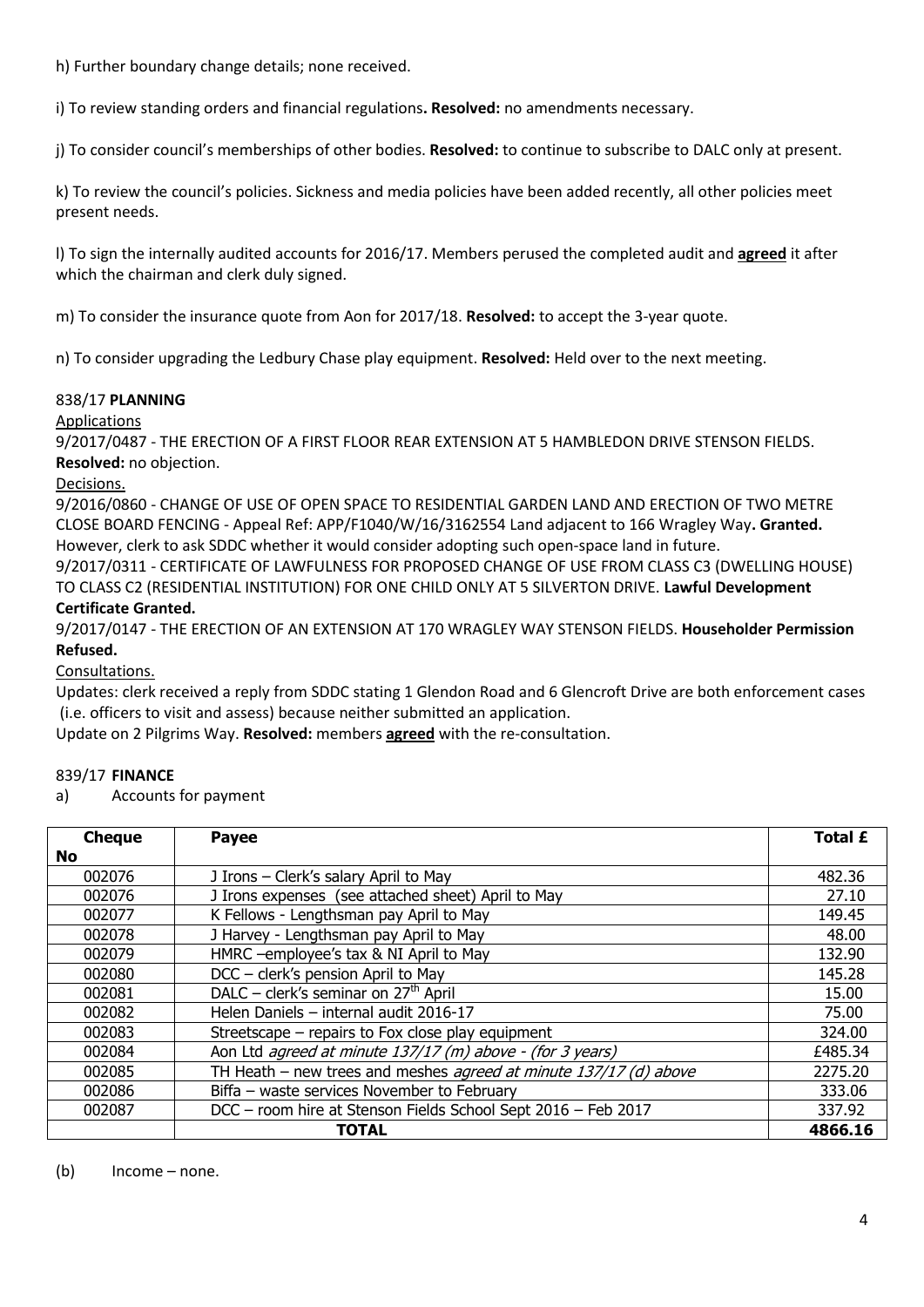h) Further boundary change details; none received.

i) To review standing orders and financial regulations**. Resolved:** no amendments necessary.

j) To consider council's memberships of other bodies. **Resolved:** to continue to subscribe to DALC only at present.

k) To review the council's policies. Sickness and media policies have been added recently, all other policies meet present needs.

l) To sign the internally audited accounts for 2016/17. Members perused the completed audit and **agreed** it after which the chairman and clerk duly signed.

m) To consider the insurance quote from Aon for 2017/18. **Resolved:** to accept the 3-year quote.

n) To consider upgrading the Ledbury Chase play equipment. **Resolved:** Held over to the next meeting.

## 838/17 **PLANNING**

Applications

9/2017/0487 - THE ERECTION OF A FIRST FLOOR REAR EXTENSION AT 5 HAMBLEDON DRIVE STENSON FIELDS. **Resolved:** no objection.

## Decisions.

9/2016/0860 - CHANGE OF USE OF OPEN SPACE TO RESIDENTIAL GARDEN LAND AND ERECTION OF TWO METRE CLOSE BOARD FENCING - Appeal Ref: APP/F1040/W/16/3162554 Land adjacent to 166 Wragley Way**. Granted.** However, clerk to ask SDDC whether it would consider adopting such open-space land in future.

9/2017/0311 - CERTIFICATE OF LAWFULNESS FOR PROPOSED CHANGE OF USE FROM CLASS C3 (DWELLING HOUSE) TO CLASS C2 (RESIDENTIAL INSTITUTION) FOR ONE CHILD ONLY AT 5 SILVERTON DRIVE. **Lawful Development** 

# **Certificate Granted.**

9/2017/0147 - THE ERECTION OF AN EXTENSION AT 170 WRAGLEY WAY STENSON FIELDS. **Householder Permission Refused.**

## Consultations.

Updates: clerk received a reply from SDDC stating 1 Glendon Road and 6 Glencroft Drive are both enforcement cases (i.e. officers to visit and assess) because neither submitted an application.

Update on 2 Pilgrims Way. **Resolved:** members **agreed** with the re-consultation.

## 839/17 **FINANCE**

a) Accounts for payment

| <b>Cheque</b> | <b>Payee</b>                                                      | <b>Total £</b> |
|---------------|-------------------------------------------------------------------|----------------|
| No.           |                                                                   |                |
| 002076        | J Irons - Clerk's salary April to May                             | 482.36         |
| 002076        | J Irons expenses (see attached sheet) April to May                | 27.10          |
| 002077        | K Fellows - Lengthsman pay April to May                           | 149.45         |
| 002078        | J Harvey - Lengthsman pay April to May                            | 48.00          |
| 002079        | HMRC -employee's tax & NI April to May                            | 132.90         |
| 002080        | DCC - clerk's pension April to May                                | 145.28         |
| 002081        | DALC – clerk's seminar on $27th$ April                            | 15.00          |
| 002082        | Helen Daniels - internal audit 2016-17                            | 75.00          |
| 002083        | Streetscape - repairs to Fox close play equipment                 | 324.00         |
| 002084        | Aon Ltd agreed at minute 137/17 (m) above - (for 3 years)         | £485.34        |
| 002085        | TH Heath - new trees and meshes agreed at minute 137/17 (d) above | 2275.20        |
| 002086        | Biffa - waste services November to February                       | 333.06         |
| 002087        | DCC - room hire at Stenson Fields School Sept 2016 - Feb 2017     | 337.92         |
|               | <b>TOTAL</b>                                                      | 4866.16        |